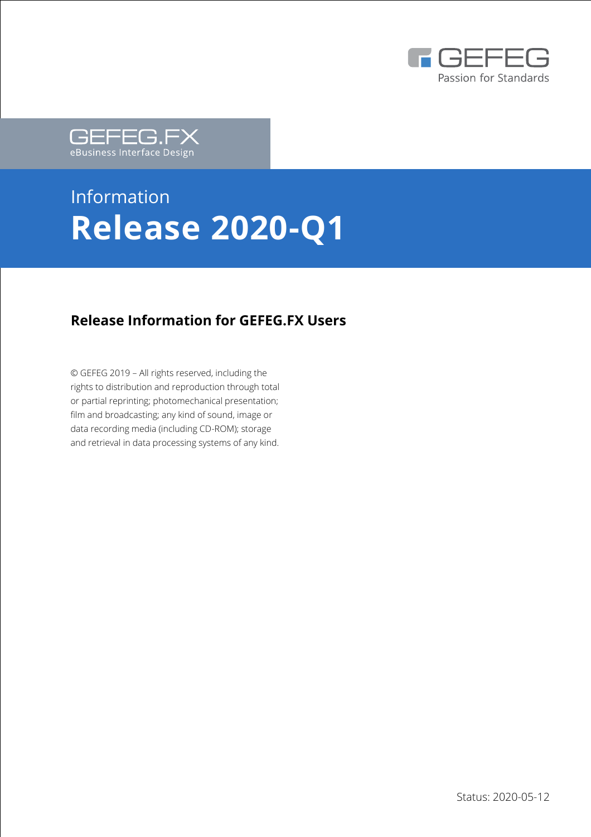



# Information **Release 2020-Q1**

### **Release Information for GEFEG.FX Users**

© GEFEG 2019 – All rights reserved, including the rights to distribution and reproduction through total or partial reprinting; photomechanical presentation; film and broadcasting; any kind of sound, image or data recording media (including CD-ROM); storage and retrieval in data processing systems of any kind.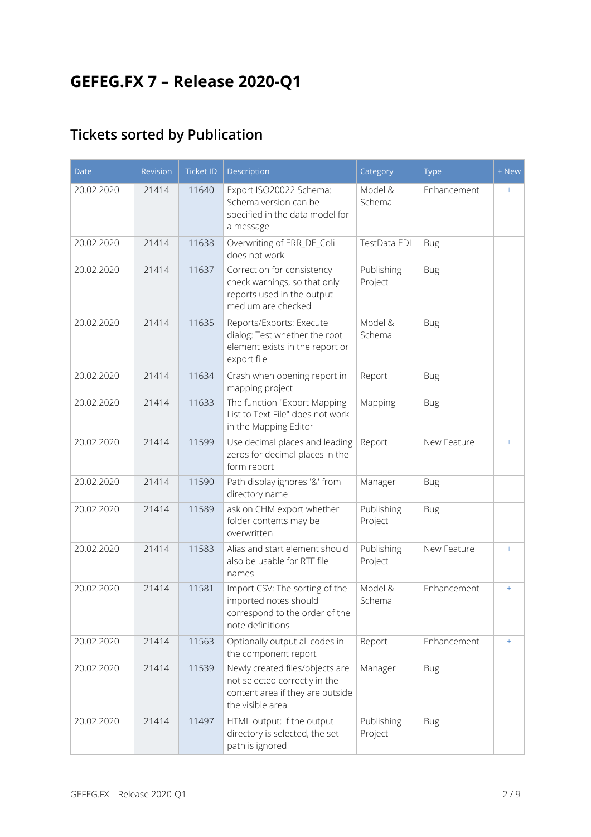# **GEFEG.FX 7 – Release 2020-Q1**

## **Tickets sorted by Publication**

| <b>Date</b> | Revision | <b>Ticket ID</b> | Description                                                                                                              | Category              | <b>Type</b> | + New |
|-------------|----------|------------------|--------------------------------------------------------------------------------------------------------------------------|-----------------------|-------------|-------|
| 20.02.2020  | 21414    | 11640            | Export ISO20022 Schema:<br>Schema version can be<br>specified in the data model for<br>a message                         | Model &<br>Schema     | Enhancement | $+$   |
| 20.02.2020  | 21414    | 11638            | Overwriting of ERR_DE_Coli<br>does not work                                                                              | TestData EDI          | <b>Bug</b>  |       |
| 20.02.2020  | 21414    | 11637            | Correction for consistency<br>check warnings, so that only<br>reports used in the output<br>medium are checked           | Publishing<br>Project | <b>Bug</b>  |       |
| 20.02.2020  | 21414    | 11635            | Reports/Exports: Execute<br>dialog: Test whether the root<br>element exists in the report or<br>export file              | Model &<br>Schema     | <b>Bug</b>  |       |
| 20.02.2020  | 21414    | 11634            | Crash when opening report in<br>mapping project                                                                          | Report                | <b>Bug</b>  |       |
| 20.02.2020  | 21414    | 11633            | The function "Export Mapping<br>List to Text File" does not work<br>in the Mapping Editor                                | Mapping               | <b>Bug</b>  |       |
| 20.02.2020  | 21414    | 11599            | Use decimal places and leading<br>zeros for decimal places in the<br>form report                                         | Report                | New Feature | $+$   |
| 20.02.2020  | 21414    | 11590            | Path display ignores '&' from<br>directory name                                                                          | Manager               | <b>Bug</b>  |       |
| 20.02.2020  | 21414    | 11589            | ask on CHM export whether<br>folder contents may be<br>overwritten                                                       | Publishing<br>Project | <b>Bug</b>  |       |
| 20.02.2020  | 21414    | 11583            | Alias and start element should<br>also be usable for RTF file<br>names                                                   | Publishing<br>Project | New Feature | $+$   |
| 20.02.2020  | 21414    | 11581            | Import CSV: The sorting of the<br>imported notes should<br>correspond to the order of the<br>note definitions            | Model &<br>Schema     | Enhancement | $+$   |
| 20.02.2020  | 21414    | 11563            | Optionally output all codes in<br>the component report                                                                   | Report                | Enhancement | $+$   |
| 20.02.2020  | 21414    | 11539            | Newly created files/objects are<br>not selected correctly in the<br>content area if they are outside<br>the visible area | Manager               | <b>Bug</b>  |       |
| 20.02.2020  | 21414    | 11497            | HTML output: if the output<br>directory is selected, the set<br>path is ignored                                          | Publishing<br>Project | <b>Bug</b>  |       |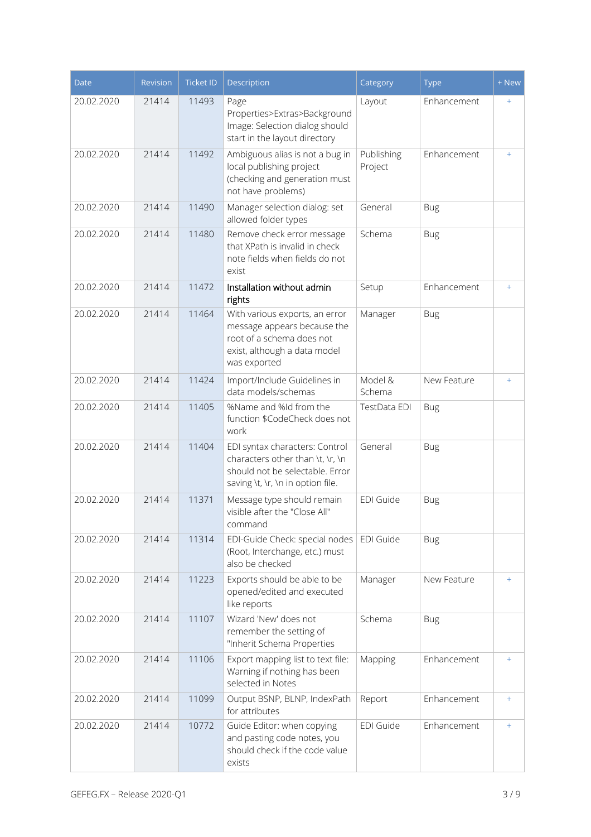| <b>Date</b> | Revision | <b>Ticket ID</b> | Description                                                                                                                                | Category              | <b>Type</b> | + New |
|-------------|----------|------------------|--------------------------------------------------------------------------------------------------------------------------------------------|-----------------------|-------------|-------|
| 20.02.2020  | 21414    | 11493            | Page<br>Properties>Extras>Background<br>Image: Selection dialog should<br>start in the layout directory                                    | Layout                | Enhancement | $+$   |
| 20.02.2020  | 21414    | 11492            | Ambiguous alias is not a bug in<br>local publishing project<br>(checking and generation must<br>not have problems)                         | Publishing<br>Project | Enhancement | $+$   |
| 20.02.2020  | 21414    | 11490            | Manager selection dialog: set<br>allowed folder types                                                                                      | General               | <b>Bug</b>  |       |
| 20.02.2020  | 21414    | 11480            | Remove check error message<br>that XPath is invalid in check<br>note fields when fields do not<br>exist                                    | Schema                | <b>Bug</b>  |       |
| 20.02.2020  | 21414    | 11472            | Installation without admin<br>rights                                                                                                       | Setup                 | Enhancement | $+$   |
| 20.02.2020  | 21414    | 11464            | With various exports, an error<br>message appears because the<br>root of a schema does not<br>exist, although a data model<br>was exported | Manager               | <b>Bug</b>  |       |
| 20.02.2020  | 21414    | 11424            | Import/Include Guidelines in<br>data models/schemas                                                                                        | Model &<br>Schema     | New Feature | $+$   |
| 20.02.2020  | 21414    | 11405            | %Name and %Id from the<br>function \$CodeCheck does not<br>work                                                                            | TestData EDI          | <b>Bug</b>  |       |
| 20.02.2020  | 21414    | 11404            | EDI syntax characters: Control<br>characters other than \t, \r, \n<br>should not be selectable. Error<br>saving \t, \r, \n in option file. | General               | <b>Bug</b>  |       |
| 20.02.2020  | 21414    | 11371            | Message type should remain<br>visible after the "Close All"<br>command                                                                     | <b>EDI Guide</b>      | <b>Bug</b>  |       |
| 20.02.2020  | 21414    | 11314            | EDI-Guide Check: special nodes<br>(Root, Interchange, etc.) must<br>also be checked                                                        | EDI Guide             | <b>Bug</b>  |       |
| 20.02.2020  | 21414    | 11223            | Exports should be able to be<br>opened/edited and executed<br>like reports                                                                 | Manager               | New Feature | $+$   |
| 20.02.2020  | 21414    | 11107            | Wizard 'New' does not<br>remember the setting of<br>"Inherit Schema Properties                                                             | Schema                | <b>Bug</b>  |       |
| 20.02.2020  | 21414    | 11106            | Export mapping list to text file:<br>Warning if nothing has been<br>selected in Notes                                                      | Mapping               | Enhancement | $+$   |
| 20.02.2020  | 21414    | 11099            | Output BSNP, BLNP, IndexPath<br>for attributes                                                                                             | Report                | Enhancement | $+$   |
| 20.02.2020  | 21414    | 10772            | Guide Editor: when copying<br>and pasting code notes, you<br>should check if the code value<br>exists                                      | EDI Guide             | Enhancement | $+$   |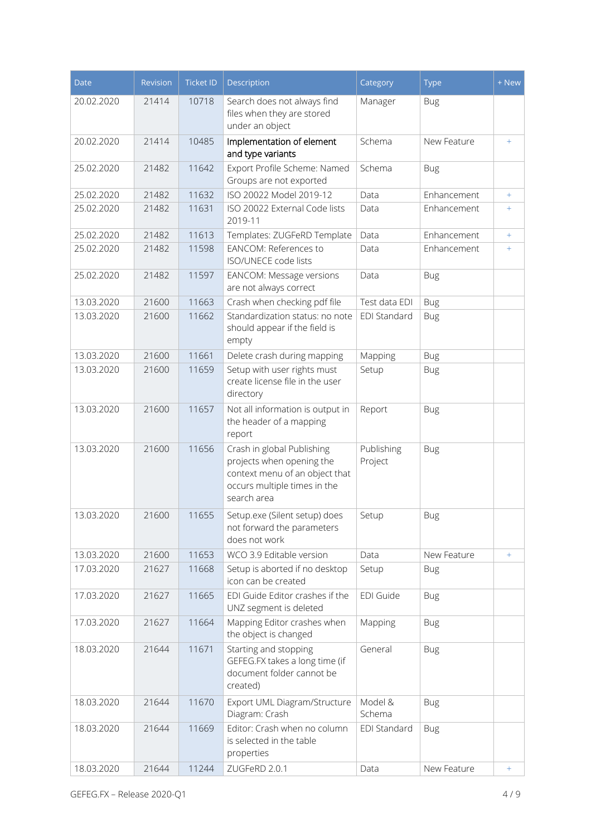| <b>Date</b> | Revision | <b>Ticket ID</b> | Description                                                                                                                              | Category              | <b>Type</b> | + New     |
|-------------|----------|------------------|------------------------------------------------------------------------------------------------------------------------------------------|-----------------------|-------------|-----------|
| 20.02.2020  | 21414    | 10718            | Search does not always find<br>files when they are stored<br>under an object                                                             | Manager               | <b>Bug</b>  |           |
| 20.02.2020  | 21414    | 10485            | Implementation of element<br>and type variants                                                                                           | Schema                | New Feature | $+$       |
| 25.02.2020  | 21482    | 11642            | Export Profile Scheme: Named<br>Groups are not exported                                                                                  | Schema                | <b>Bug</b>  |           |
| 25.02.2020  | 21482    | 11632            | ISO 20022 Model 2019-12                                                                                                                  | Data                  | Enhancement | $+$       |
| 25.02.2020  | 21482    | 11631            | ISO 20022 External Code lists<br>2019-11                                                                                                 | Data                  | Enhancement | $+$       |
| 25.02.2020  | 21482    | 11613            | Templates: ZUGFeRD Template                                                                                                              | Data                  | Enhancement | $+$       |
| 25.02.2020  | 21482    | 11598            | EANCOM: References to<br><b>ISO/UNECE code lists</b>                                                                                     | Data                  | Enhancement | $+$       |
| 25.02.2020  | 21482    | 11597            | EANCOM: Message versions<br>are not always correct                                                                                       | Data                  | <b>Bug</b>  |           |
| 13.03.2020  | 21600    | 11663            | Crash when checking pdf file                                                                                                             | Test data EDI         | <b>Bug</b>  |           |
| 13.03.2020  | 21600    | 11662            | Standardization status: no note<br>should appear if the field is<br>empty                                                                | EDI Standard          | <b>Bug</b>  |           |
| 13.03.2020  | 21600    | 11661            | Delete crash during mapping                                                                                                              | Mapping               | <b>Bug</b>  |           |
| 13.03.2020  | 21600    | 11659            | Setup with user rights must<br>create license file in the user<br>directory                                                              | Setup                 | <b>Bug</b>  |           |
| 13.03.2020  | 21600    | 11657            | Not all information is output in<br>the header of a mapping<br>report                                                                    | Report                | <b>Bug</b>  |           |
| 13.03.2020  | 21600    | 11656            | Crash in global Publishing<br>projects when opening the<br>context menu of an object that<br>occurs multiple times in the<br>search area | Publishing<br>Project | <b>Bug</b>  |           |
| 13.03.2020  | 21600    | 11655            | Setup.exe (Silent setup) does<br>not forward the parameters<br>does not work                                                             | Setup                 | <b>Bug</b>  |           |
| 13.03.2020  | 21600    | 11653            | WCO 3.9 Editable version                                                                                                                 | Data                  | New Feature | $+$       |
| 17.03.2020  | 21627    | 11668            | Setup is aborted if no desktop<br>icon can be created                                                                                    | Setup                 | <b>Bug</b>  |           |
| 17.03.2020  | 21627    | 11665            | EDI Guide Editor crashes if the<br>UNZ segment is deleted                                                                                | EDI Guide             | <b>Bug</b>  |           |
| 17.03.2020  | 21627    | 11664            | Mapping Editor crashes when<br>the object is changed                                                                                     | Mapping               | <b>Bug</b>  |           |
| 18.03.2020  | 21644    | 11671            | Starting and stopping<br>GEFEG.FX takes a long time (if<br>document folder cannot be<br>created)                                         | General               | <b>Bug</b>  |           |
| 18.03.2020  | 21644    | 11670            | Export UML Diagram/Structure<br>Diagram: Crash                                                                                           | Model &<br>Schema     | <b>Bug</b>  |           |
| 18.03.2020  | 21644    | 11669            | Editor: Crash when no column<br>is selected in the table<br>properties                                                                   | EDI Standard          | <b>Bug</b>  |           |
| 18.03.2020  | 21644    | 11244            | ZUGFeRD 2.0.1                                                                                                                            | Data                  | New Feature | $\ddot{}$ |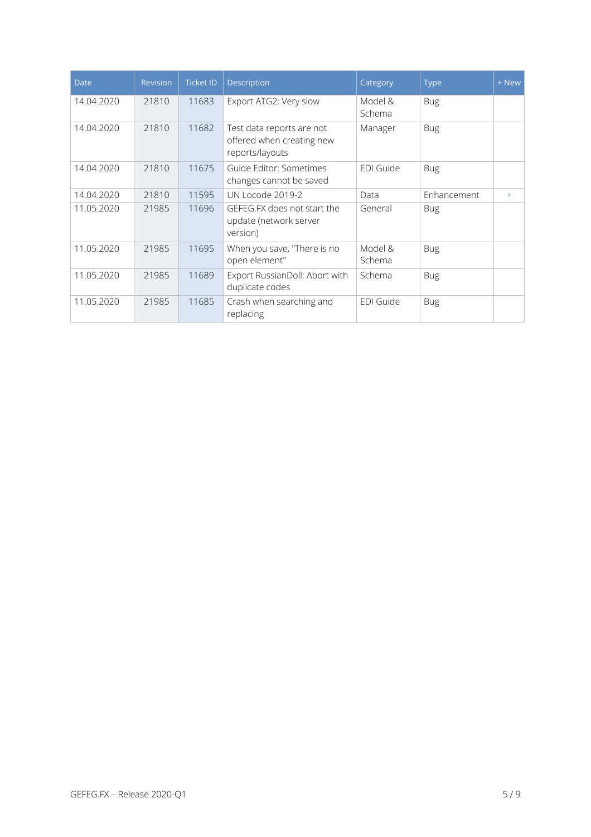| <b>Date</b> | Revision | <b>Ticket ID</b> | Description                                                               | Category          | <b>Type</b> | + New |
|-------------|----------|------------------|---------------------------------------------------------------------------|-------------------|-------------|-------|
| 14.04.2020  | 21810    | 11683            | Export ATG2: Very slow                                                    | Model &<br>Schema | <b>Bug</b>  |       |
| 14.04.2020  | 21810    | 11682            | Test data reports are not<br>offered when creating new<br>reports/layouts | Manager           | <b>Bug</b>  |       |
| 14.04.2020  | 21810    | 11675            | Guide Editor: Sometimes<br>changes cannot be saved                        | EDI Guide         | <b>Bug</b>  |       |
| 14.04.2020  | 21810    | 11595            | UN Locode 2019-2                                                          | Data              | Enhancement | $+$   |
| 11.05.2020  | 21985    | 11696            | GEFEG.FX does not start the<br>update (network server<br>version)         | General           | <b>Bug</b>  |       |
| 11.05.2020  | 21985    | 11695            | When you save, "There is no<br>open element"                              | Model &<br>Schema | <b>Bug</b>  |       |
| 11.05.2020  | 21985    | 11689            | Export RussianDoll: Abort with<br>duplicate codes                         | Schema            | <b>Bug</b>  |       |
| 11.05.2020  | 21985    | 11685            | Crash when searching and<br>replacing                                     | EDI Guide         | <b>Bug</b>  |       |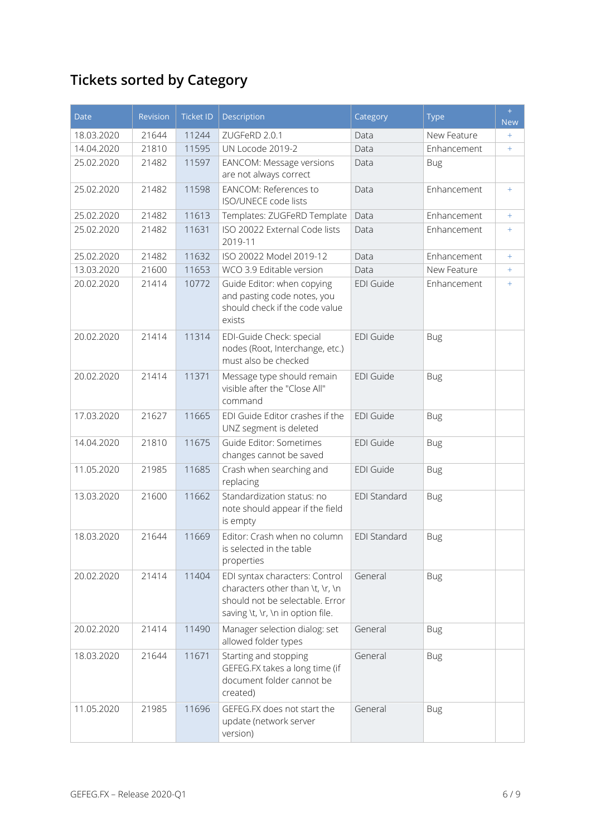# **Tickets sorted by Category**

| <b>Date</b> | <b>Revision</b> | <b>Ticket ID</b> | Description                                                                                                                                | Category            | <b>Type</b> | $+$<br><b>New</b> |
|-------------|-----------------|------------------|--------------------------------------------------------------------------------------------------------------------------------------------|---------------------|-------------|-------------------|
| 18.03.2020  | 21644           | 11244            | ZUGFeRD 2.0.1                                                                                                                              | Data                | New Feature | $+$               |
| 14.04.2020  | 21810           | 11595            | UN Locode 2019-2                                                                                                                           | Data                | Enhancement | $+$               |
| 25.02.2020  | 21482           | 11597            | EANCOM: Message versions<br>are not always correct                                                                                         | Data                | <b>Bug</b>  |                   |
| 25.02.2020  | 21482           | 11598            | EANCOM: References to<br><b>ISO/UNECE code lists</b>                                                                                       | Data                | Enhancement | $+$               |
| 25.02.2020  | 21482           | 11613            | Templates: ZUGFeRD Template                                                                                                                | Data                | Enhancement | $+$               |
| 25.02.2020  | 21482           | 11631            | ISO 20022 External Code lists<br>2019-11                                                                                                   | Data                | Enhancement | $+$               |
| 25.02.2020  | 21482           | 11632            | ISO 20022 Model 2019-12                                                                                                                    | Data                | Enhancement | $+$               |
| 13.03.2020  | 21600           | 11653            | WCO 3.9 Editable version                                                                                                                   | Data                | New Feature | $+$               |
| 20.02.2020  | 21414           | 10772            | Guide Editor: when copying<br>and pasting code notes, you<br>should check if the code value<br>exists                                      | <b>EDI Guide</b>    | Enhancement | $+$               |
| 20.02.2020  | 21414           | 11314            | EDI-Guide Check: special<br>nodes (Root, Interchange, etc.)<br>must also be checked                                                        | <b>EDI Guide</b>    | <b>Bug</b>  |                   |
| 20.02.2020  | 21414           | 11371            | Message type should remain<br>visible after the "Close All"<br>command                                                                     | <b>EDI Guide</b>    | <b>Bug</b>  |                   |
| 17.03.2020  | 21627           | 11665            | EDI Guide Editor crashes if the<br>UNZ segment is deleted                                                                                  | <b>EDI Guide</b>    | <b>Bug</b>  |                   |
| 14.04.2020  | 21810           | 11675            | Guide Editor: Sometimes<br>changes cannot be saved                                                                                         | <b>EDI Guide</b>    | <b>Bug</b>  |                   |
| 11.05.2020  | 21985           | 11685            | Crash when searching and<br>replacing                                                                                                      | <b>EDI Guide</b>    | <b>Bug</b>  |                   |
| 13.03.2020  | 21600           | 11662            | Standardization status: no<br>note should appear if the field<br>is empty                                                                  | <b>EDI Standard</b> | <b>Bug</b>  |                   |
| 18.03.2020  | 21644           | 11669            | Editor: Crash when no column<br>is selected in the table<br>properties                                                                     | <b>EDI Standard</b> | <b>Bug</b>  |                   |
| 20.02.2020  | 21414           | 11404            | EDI syntax characters: Control<br>characters other than \t, \r, \n<br>should not be selectable. Error<br>saving \t, \r, \n in option file. | General             | <b>Bug</b>  |                   |
| 20.02.2020  | 21414           | 11490            | Manager selection dialog: set<br>allowed folder types                                                                                      | General             | <b>Bug</b>  |                   |
| 18.03.2020  | 21644           | 11671            | Starting and stopping<br>GEFEG.FX takes a long time (if<br>document folder cannot be<br>created)                                           | General             | <b>Bug</b>  |                   |
| 11.05.2020  | 21985           | 11696            | GEFEG.FX does not start the<br>update (network server<br>version)                                                                          | General             | <b>Bug</b>  |                   |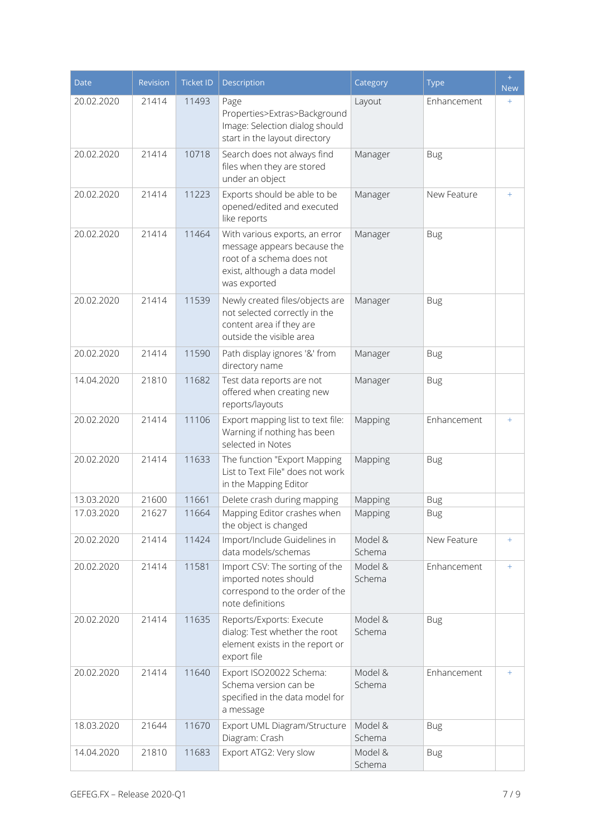| <b>Date</b> | Revision | <b>Ticket ID</b> | <b>Description</b>                                                                                                                         | Category          | <b>Type</b> | $+$<br><b>New</b>  |
|-------------|----------|------------------|--------------------------------------------------------------------------------------------------------------------------------------------|-------------------|-------------|--------------------|
| 20.02.2020  | 21414    | 11493            | Page<br>Properties>Extras>Background<br>Image: Selection dialog should<br>start in the layout directory                                    | Layout            | Enhancement | $\hspace{0.1mm} +$ |
| 20.02.2020  | 21414    | 10718            | Search does not always find<br>files when they are stored<br>under an object                                                               | Manager           | <b>Bug</b>  |                    |
| 20.02.2020  | 21414    | 11223            | Exports should be able to be<br>opened/edited and executed<br>like reports                                                                 | Manager           | New Feature | $+$                |
| 20.02.2020  | 21414    | 11464            | With various exports, an error<br>message appears because the<br>root of a schema does not<br>exist, although a data model<br>was exported | Manager           | <b>Bug</b>  |                    |
| 20.02.2020  | 21414    | 11539            | Newly created files/objects are<br>not selected correctly in the<br>content area if they are<br>outside the visible area                   | Manager           | <b>Bug</b>  |                    |
| 20.02.2020  | 21414    | 11590            | Path display ignores '&' from<br>directory name                                                                                            | Manager           | <b>Bug</b>  |                    |
| 14.04.2020  | 21810    | 11682            | Test data reports are not<br>offered when creating new<br>reports/layouts                                                                  | Manager           | <b>Bug</b>  |                    |
| 20.02.2020  | 21414    | 11106            | Export mapping list to text file:<br>Warning if nothing has been<br>selected in Notes                                                      | Mapping           | Enhancement | $+$                |
| 20.02.2020  | 21414    | 11633            | The function "Export Mapping<br>List to Text File" does not work<br>in the Mapping Editor                                                  | Mapping           | <b>Bug</b>  |                    |
| 13.03.2020  | 21600    | 11661            | Delete crash during mapping                                                                                                                | Mapping           | <b>Bug</b>  |                    |
| 17.03.2020  | 21627    | 11664            | Mapping Editor crashes when<br>the object is changed                                                                                       | Mapping           | <b>Bug</b>  |                    |
| 20.02.2020  | 21414    | 11424            | Import/Include Guidelines in<br>data models/schemas                                                                                        | Model &<br>Schema | New Feature | $+$                |
| 20.02.2020  | 21414    | 11581            | Import CSV: The sorting of the<br>imported notes should<br>correspond to the order of the<br>note definitions                              | Model &<br>Schema | Enhancement | $+$                |
| 20.02.2020  | 21414    | 11635            | Reports/Exports: Execute<br>dialog: Test whether the root<br>element exists in the report or<br>export file                                | Model &<br>Schema | <b>Bug</b>  |                    |
| 20.02.2020  | 21414    | 11640            | Export ISO20022 Schema:<br>Schema version can be<br>specified in the data model for<br>a message                                           | Model &<br>Schema | Enhancement | $+$                |
| 18.03.2020  | 21644    | 11670            | Export UML Diagram/Structure<br>Diagram: Crash                                                                                             | Model &<br>Schema | <b>Bug</b>  |                    |
| 14.04.2020  | 21810    | 11683            | Export ATG2: Very slow                                                                                                                     | Model &<br>Schema | <b>Bug</b>  |                    |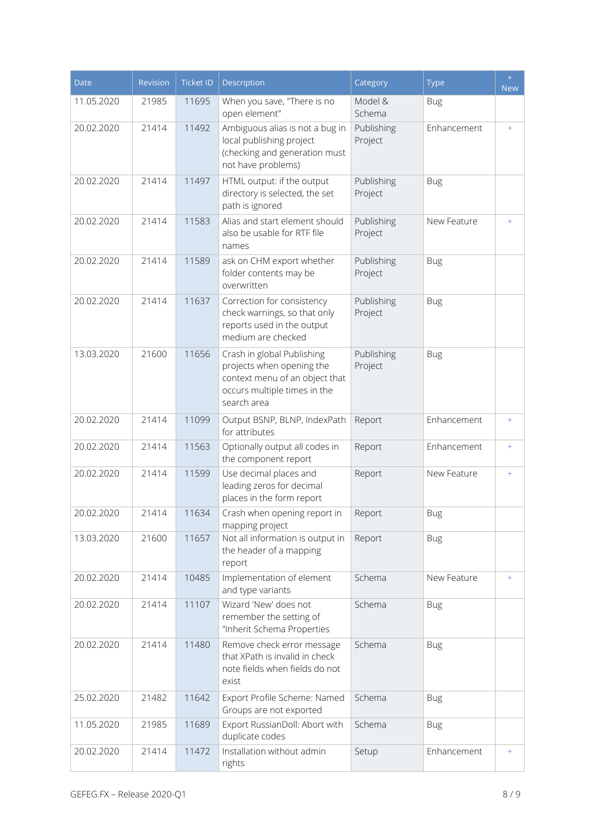| <b>Date</b> | Revision | <b>Ticket ID</b> | <b>Description</b>                                                                                                                       | Category              | <b>Type</b> | $+$<br><b>New</b> |
|-------------|----------|------------------|------------------------------------------------------------------------------------------------------------------------------------------|-----------------------|-------------|-------------------|
| 11.05.2020  | 21985    | 11695            | When you save, "There is no<br>open element"                                                                                             | Model &<br>Schema     | <b>Bug</b>  |                   |
| 20.02.2020  | 21414    | 11492            | Ambiguous alias is not a bug in<br>local publishing project<br>(checking and generation must<br>not have problems)                       | Publishing<br>Project | Enhancement | $+$               |
| 20.02.2020  | 21414    | 11497            | HTML output: if the output<br>directory is selected, the set<br>path is ignored                                                          | Publishing<br>Project | <b>Bug</b>  |                   |
| 20.02.2020  | 21414    | 11583            | Alias and start element should<br>also be usable for RTF file<br>names                                                                   | Publishing<br>Project | New Feature | $+$               |
| 20.02.2020  | 21414    | 11589            | ask on CHM export whether<br>folder contents may be<br>overwritten                                                                       | Publishing<br>Project | <b>Bug</b>  |                   |
| 20.02.2020  | 21414    | 11637            | Correction for consistency<br>check warnings, so that only<br>reports used in the output<br>medium are checked                           | Publishing<br>Project | <b>Bug</b>  |                   |
| 13.03.2020  | 21600    | 11656            | Crash in global Publishing<br>projects when opening the<br>context menu of an object that<br>occurs multiple times in the<br>search area | Publishing<br>Project | <b>Bug</b>  |                   |
| 20.02.2020  | 21414    | 11099            | Output BSNP, BLNP, IndexPath<br>for attributes                                                                                           | Report                | Enhancement | $+$               |
| 20.02.2020  | 21414    | 11563            | Optionally output all codes in<br>the component report                                                                                   | Report                | Enhancement | $+$               |
| 20.02.2020  | 21414    | 11599            | Use decimal places and<br>leading zeros for decimal<br>places in the form report                                                         | Report                | New Feature | $^{+}$            |
| 20.02.2020  | 21414    | 11634            | Crash when opening report in<br>mapping project                                                                                          | Report                | <b>Bug</b>  |                   |
| 13.03.2020  | 21600    | 11657            | Not all information is output in<br>the header of a mapping<br>report                                                                    | Report                | <b>Bug</b>  |                   |
| 20.02.2020  | 21414    | 10485            | Implementation of element<br>and type variants                                                                                           | Schema                | New Feature | $+$               |
| 20.02.2020  | 21414    | 11107            | Wizard 'New' does not<br>remember the setting of<br>"Inherit Schema Properties                                                           | Schema                | <b>Bug</b>  |                   |
| 20.02.2020  | 21414    | 11480            | Remove check error message<br>that XPath is invalid in check<br>note fields when fields do not<br>exist                                  | Schema                | <b>Bug</b>  |                   |
| 25.02.2020  | 21482    | 11642            | Export Profile Scheme: Named<br>Groups are not exported                                                                                  | Schema                | <b>Bug</b>  |                   |
| 11.05.2020  | 21985    | 11689            | Export RussianDoll: Abort with<br>duplicate codes                                                                                        | Schema                | <b>Bug</b>  |                   |
| 20.02.2020  | 21414    | 11472            | Installation without admin<br>rights                                                                                                     | Setup                 | Enhancement | $+$               |